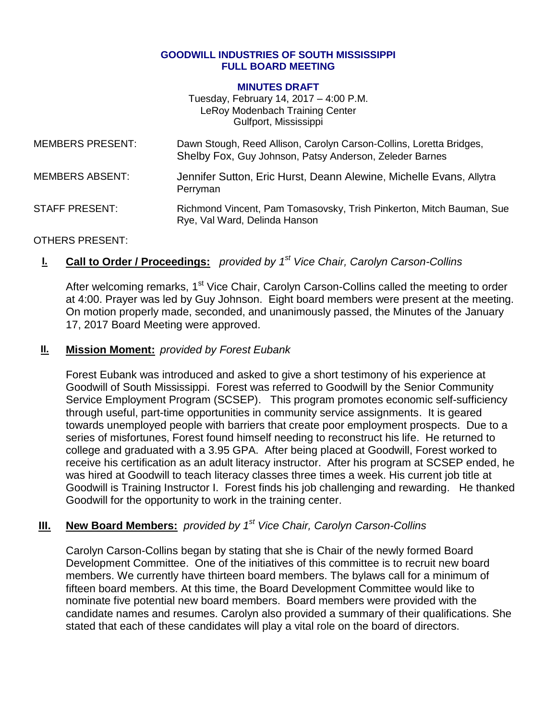#### **GOODWILL INDUSTRIES OF SOUTH MISSISSIPPI FULL BOARD MEETING**

#### **MINUTES DRAFT**

Tuesday, February 14, 2017 – 4:00 P.M. LeRoy Modenbach Training Center Gulfport, Mississippi

| <b>MEMBERS PRESENT:</b> | Dawn Stough, Reed Allison, Carolyn Carson-Collins, Loretta Bridges,<br>Shelby Fox, Guy Johnson, Patsy Anderson, Zeleder Barnes |
|-------------------------|--------------------------------------------------------------------------------------------------------------------------------|
| <b>MEMBERS ABSENT:</b>  | Jennifer Sutton, Eric Hurst, Deann Alewine, Michelle Evans, Allytra<br>Perryman                                                |
| <b>STAFF PRESENT:</b>   | Richmond Vincent, Pam Tomasovsky, Trish Pinkerton, Mitch Bauman, Sue<br>Rye, Val Ward, Delinda Hanson                          |

#### OTHERS PRESENT:

## **I. Call to Order / Proceedings:** *provided by 1 st Vice Chair, Carolyn Carson-Collins*

After welcoming remarks, 1<sup>st</sup> Vice Chair, Carolyn Carson-Collins called the meeting to order at 4:00. Prayer was led by Guy Johnson. Eight board members were present at the meeting. On motion properly made, seconded, and unanimously passed, the Minutes of the January 17, 2017 Board Meeting were approved.

### **II. Mission Moment:** *provided by Forest Eubank*

Forest Eubank was introduced and asked to give a short testimony of his experience at Goodwill of South Mississippi. Forest was referred to Goodwill by the Senior Community Service Employment Program (SCSEP). This program promotes economic self-sufficiency through useful, part-time opportunities in community service assignments. It is geared towards unemployed people with barriers that create poor employment prospects. Due to a series of misfortunes, Forest found himself needing to reconstruct his life. He returned to college and graduated with a 3.95 GPA. After being placed at Goodwill, Forest worked to receive his certification as an adult literacy instructor. After his program at SCSEP ended, he was hired at Goodwill to teach literacy classes three times a week. His current job title at Goodwill is Training Instructor I. Forest finds his job challenging and rewarding. He thanked Goodwill for the opportunity to work in the training center.

## **III. New Board Members:** *provided by 1st Vice Chair, Carolyn Carson-Collins*

Carolyn Carson-Collins began by stating that she is Chair of the newly formed Board Development Committee. One of the initiatives of this committee is to recruit new board members. We currently have thirteen board members. The bylaws call for a minimum of fifteen board members. At this time, the Board Development Committee would like to nominate five potential new board members. Board members were provided with the candidate names and resumes. Carolyn also provided a summary of their qualifications. She stated that each of these candidates will play a vital role on the board of directors.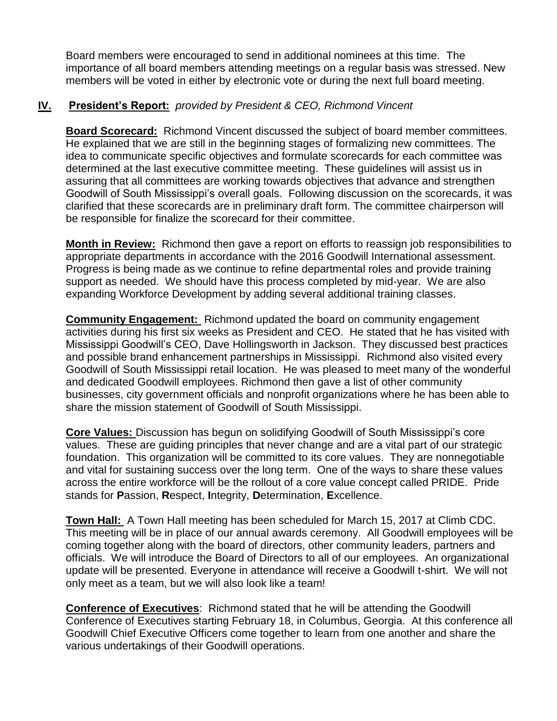Board members were encouraged to send in additional nominees at this time. The importance of all board members attending meetings on a regular basis was stressed. New members will be voted in either by electronic vote or during the next full board meeting.

## **IV. President's Report:** *provided by President & CEO, Richmond Vincent*

**Board Scorecard:** Richmond Vincent discussed the subject of board member committees. He explained that we are still in the beginning stages of formalizing new committees. The idea to communicate specific objectives and formulate scorecards for each committee was determined at the last executive committee meeting. These guidelines will assist us in assuring that all committees are working towards objectives that advance and strengthen Goodwill of South Mississippi's overall goals. Following discussion on the scorecards, it was clarified that these scorecards are in preliminary draft form. The committee chairperson will be responsible for finalize the scorecard for their committee.

**Month in Review:** Richmond then gave a report on efforts to reassign job responsibilities to appropriate departments in accordance with the 2016 Goodwill International assessment. Progress is being made as we continue to refine departmental roles and provide training support as needed. We should have this process completed by mid-year. We are also expanding Workforce Development by adding several additional training classes.

**Community Engagement:** Richmond updated the board on community engagement activities during his first six weeks as President and CEO. He stated that he has visited with Mississippi Goodwill's CEO, Dave Hollingsworth in Jackson. They discussed best practices and possible brand enhancement partnerships in Mississippi. Richmond also visited every Goodwill of South Mississippi retail location. He was pleased to meet many of the wonderful and dedicated Goodwill employees. Richmond then gave a list of other community businesses, city government officials and nonprofit organizations where he has been able to share the mission statement of Goodwill of South Mississippi.

**Core Values:** Discussion has begun on solidifying Goodwill of South Mississippi's core values. These are guiding principles that never change and are a vital part of our strategic foundation. This organization will be committed to its core values. They are nonnegotiable and vital for sustaining success over the long term. One of the ways to share these values across the entire workforce will be the rollout of a core value concept called PRIDE. Pride stands for **P**assion, **R**espect, **I**ntegrity, **D**etermination, **E**xcellence.

**Town Hall:** A Town Hall meeting has been scheduled for March 15, 2017 at Climb CDC. This meeting will be in place of our annual awards ceremony. All Goodwill employees will be coming together along with the board of directors, other community leaders, partners and officials. We will introduce the Board of Directors to all of our employees. An organizational update will be presented. Everyone in attendance will receive a Goodwill t-shirt. We will not only meet as a team, but we will also look like a team!

**Conference of Executives**: Richmond stated that he will be attending the Goodwill Conference of Executives starting February 18, in Columbus, Georgia. At this conference all Goodwill Chief Executive Officers come together to learn from one another and share the various undertakings of their Goodwill operations.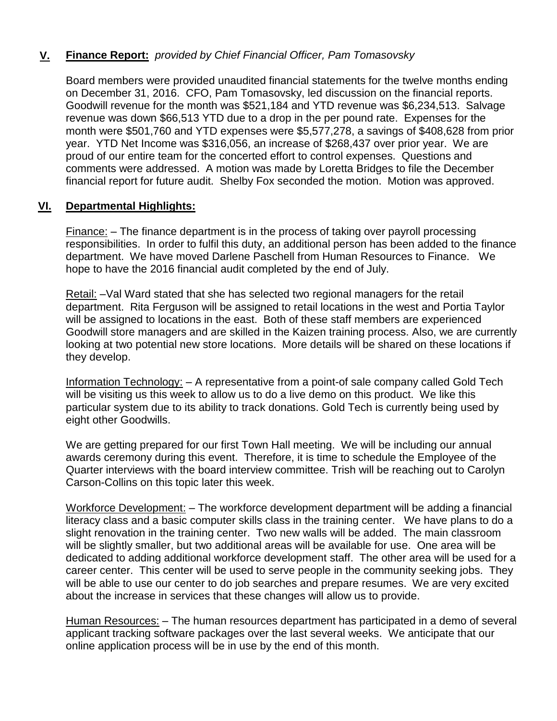## **V. Finance Report:** *provided by Chief Financial Officer, Pam Tomasovsky*

Board members were provided unaudited financial statements for the twelve months ending on December 31, 2016. CFO, Pam Tomasovsky, led discussion on the financial reports. Goodwill revenue for the month was \$521,184 and YTD revenue was \$6,234,513. Salvage revenue was down \$66,513 YTD due to a drop in the per pound rate. Expenses for the month were \$501,760 and YTD expenses were \$5,577,278, a savings of \$408,628 from prior year. YTD Net Income was \$316,056, an increase of \$268,437 over prior year. We are proud of our entire team for the concerted effort to control expenses. Questions and comments were addressed. A motion was made by Loretta Bridges to file the December financial report for future audit. Shelby Fox seconded the motion. Motion was approved.

### **VI. Departmental Highlights:**

Finance: – The finance department is in the process of taking over payroll processing responsibilities. In order to fulfil this duty, an additional person has been added to the finance department. We have moved Darlene Paschell from Human Resources to Finance. We hope to have the 2016 financial audit completed by the end of July.

Retail: –Val Ward stated that she has selected two regional managers for the retail department. Rita Ferguson will be assigned to retail locations in the west and Portia Taylor will be assigned to locations in the east. Both of these staff members are experienced Goodwill store managers and are skilled in the Kaizen training process. Also, we are currently looking at two potential new store locations. More details will be shared on these locations if they develop.

Information Technology: – A representative from a point-of sale company called Gold Tech will be visiting us this week to allow us to do a live demo on this product. We like this particular system due to its ability to track donations. Gold Tech is currently being used by eight other Goodwills.

We are getting prepared for our first Town Hall meeting. We will be including our annual awards ceremony during this event. Therefore, it is time to schedule the Employee of the Quarter interviews with the board interview committee. Trish will be reaching out to Carolyn Carson-Collins on this topic later this week.

Workforce Development: – The workforce development department will be adding a financial literacy class and a basic computer skills class in the training center. We have plans to do a slight renovation in the training center. Two new walls will be added. The main classroom will be slightly smaller, but two additional areas will be available for use. One area will be dedicated to adding additional workforce development staff. The other area will be used for a career center. This center will be used to serve people in the community seeking jobs. They will be able to use our center to do job searches and prepare resumes. We are very excited about the increase in services that these changes will allow us to provide.

Human Resources: – The human resources department has participated in a demo of several applicant tracking software packages over the last several weeks. We anticipate that our online application process will be in use by the end of this month.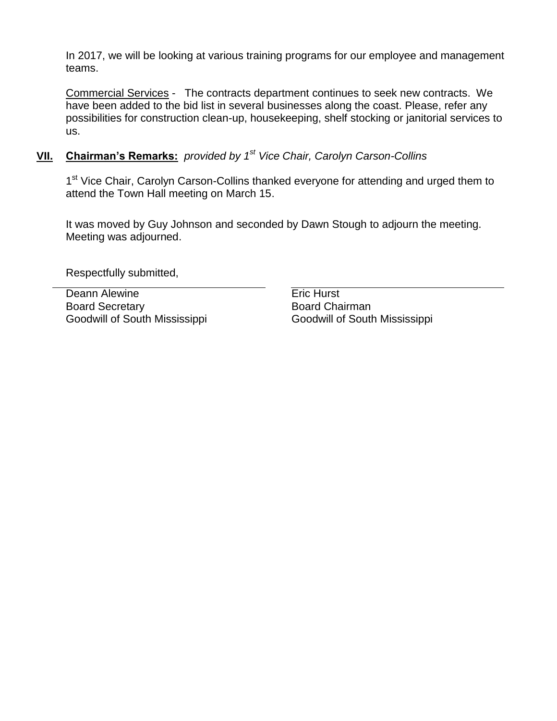In 2017, we will be looking at various training programs for our employee and management teams.

Commercial Services - The contracts department continues to seek new contracts. We have been added to the bid list in several businesses along the coast. Please, refer any possibilities for construction clean-up, housekeeping, shelf stocking or janitorial services to us.

## **VII. Chairman's Remarks:** *provided by 1 st Vice Chair, Carolyn Carson-Collins*

1<sup>st</sup> Vice Chair, Carolyn Carson-Collins thanked everyone for attending and urged them to attend the Town Hall meeting on March 15.

It was moved by Guy Johnson and seconded by Dawn Stough to adjourn the meeting. Meeting was adjourned.

Respectfully submitted,

Deann Alewine **Example 20** Eric Hurst Board Secretary Goodwill of South Mississippi

Board Chairman Goodwill of South Mississippi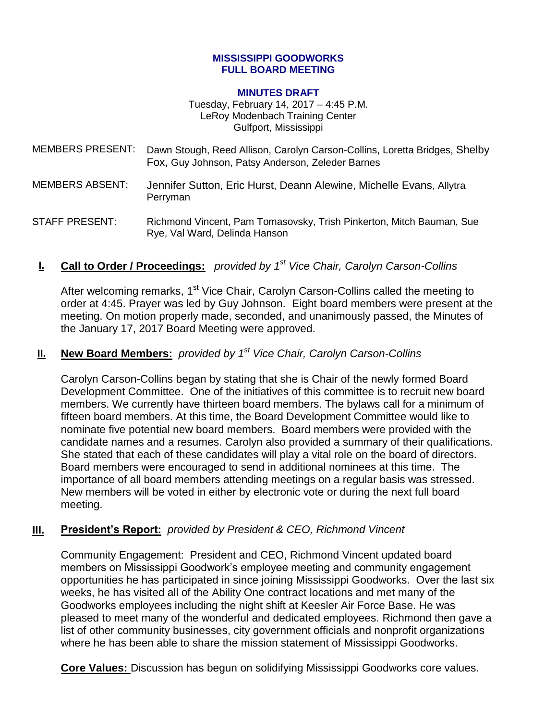#### **MISSISSIPPI GOODWORKS FULL BOARD MEETING**

#### **MINUTES DRAFT**

Tuesday, February 14, 2017 – 4:45 P.M. LeRoy Modenbach Training Center Gulfport, Mississippi

- MEMBERS PRESENT: Dawn Stough, Reed Allison, Carolyn Carson-Collins, Loretta Bridges, Shelby Fox, Guy Johnson, Patsy Anderson, Zeleder Barnes
- MEMBERS ABSENT: Jennifer Sutton, Eric Hurst, Deann Alewine, Michelle Evans, Allytra Perryman

STAFF PRESENT: Richmond Vincent, Pam Tomasovsky, Trish Pinkerton, Mitch Bauman, Sue Rye, Val Ward, Delinda Hanson

## **I. Call to Order / Proceedings:** *provided by 1 st Vice Chair, Carolyn Carson-Collins*

After welcoming remarks, 1<sup>st</sup> Vice Chair, Carolyn Carson-Collins called the meeting to order at 4:45. Prayer was led by Guy Johnson. Eight board members were present at the meeting. On motion properly made, seconded, and unanimously passed, the Minutes of the January 17, 2017 Board Meeting were approved.

# **II. New Board Members:** *provided by 1st Vice Chair, Carolyn Carson-Collins*

Carolyn Carson-Collins began by stating that she is Chair of the newly formed Board Development Committee. One of the initiatives of this committee is to recruit new board members. We currently have thirteen board members. The bylaws call for a minimum of fifteen board members. At this time, the Board Development Committee would like to nominate five potential new board members. Board members were provided with the candidate names and a resumes. Carolyn also provided a summary of their qualifications. She stated that each of these candidates will play a vital role on the board of directors. Board members were encouraged to send in additional nominees at this time. The importance of all board members attending meetings on a regular basis was stressed. New members will be voted in either by electronic vote or during the next full board meeting.

## **III. President's Report:** *provided by President & CEO, Richmond Vincent*

Community Engagement: President and CEO, Richmond Vincent updated board members on Mississippi Goodwork's employee meeting and community engagement opportunities he has participated in since joining Mississippi Goodworks. Over the last six weeks, he has visited all of the Ability One contract locations and met many of the Goodworks employees including the night shift at Keesler Air Force Base. He was pleased to meet many of the wonderful and dedicated employees. Richmond then gave a list of other community businesses, city government officials and nonprofit organizations where he has been able to share the mission statement of Mississippi Goodworks.

**Core Values:** Discussion has begun on solidifying Mississippi Goodworks core values.